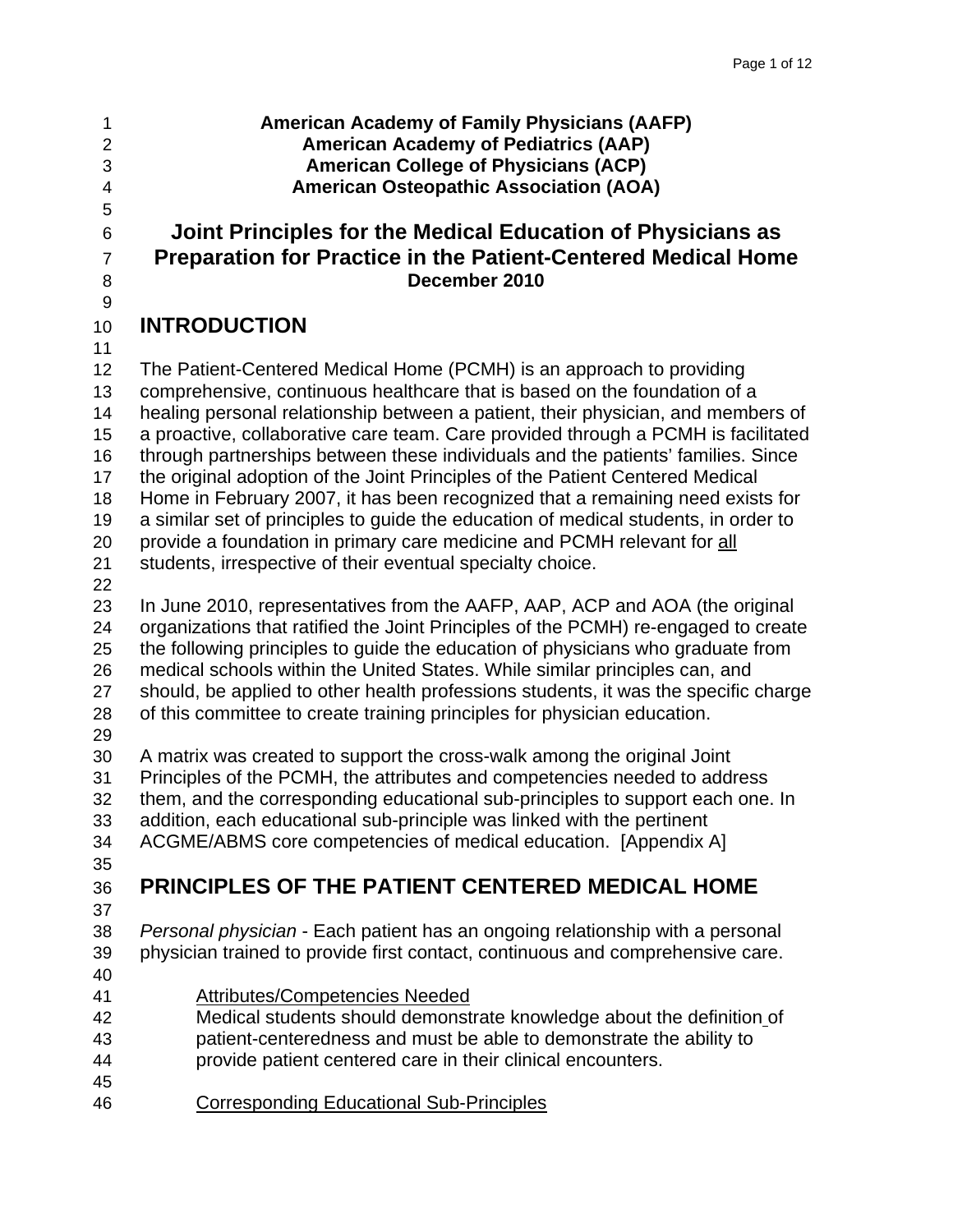5

9

- 
- 

#### 1 **American Academy of Family Physicians (AAFP)**  2 **American Academy of Pediatrics (AAP)**  3 **American College of Physicians (ACP)**  4 **American Osteopathic Association (AOA)**

### 6 **Joint Principles for the Medical Education of Physicians as**  7 **Preparation for Practice in the Patient-Centered Medical Home**  8 **December 2010**

### 10 **INTRODUCTION**

11 12 The Patient-Centered Medical Home (PCMH) is an approach to providing 13 comprehensive, continuous healthcare that is based on the foundation of a 14 healing personal relationship between a patient, their physician, and members of 15 a proactive, collaborative care team. Care provided through a PCMH is facilitated 16 through partnerships between these individuals and the patients' families. Since 17 the original adoption of the Joint Principles of the Patient Centered Medical 18 Home in February 2007, it has been recognized that a remaining need exists for 19 a similar set of principles to guide the education of medical students, in order to 20 provide a foundation in primary care medicine and PCMH relevant for all 21 students, irrespective of their eventual specialty choice. 22 23 In June 2010, representatives from the AAFP, AAP, ACP and AOA (the original 24 organizations that ratified the Joint Principles of the PCMH) re-engaged to create 25 the following principles to guide the education of physicians who graduate from

26 medical schools within the United States. While similar principles can, and 27 should, be applied to other health professions students, it was the specific charge

28 of this committee to create training principles for physician education.

29

30 A matrix was created to support the cross-walk among the original Joint 31 Principles of the PCMH, the attributes and competencies needed to address 32 them, and the corresponding educational sub-principles to support each one. In 33 addition, each educational sub-principle was linked with the pertinent

34 ACGME/ABMS core competencies of medical education. [Appendix A]

# 35

## 36 **PRINCIPLES OF THE PATIENT CENTERED MEDICAL HOME**

37

38 *Personal physician* - Each patient has an ongoing relationship with a personal 39 physician trained to provide first contact, continuous and comprehensive care. 40

- 41 Attributes/Competencies Needed
- 42 Medical students should demonstrate knowledge about the definition of 43 patient-centeredness and must be able to demonstrate the ability to
- 44 provide patient centered care in their clinical encounters. 45
- 46 Corresponding Educational Sub-Principles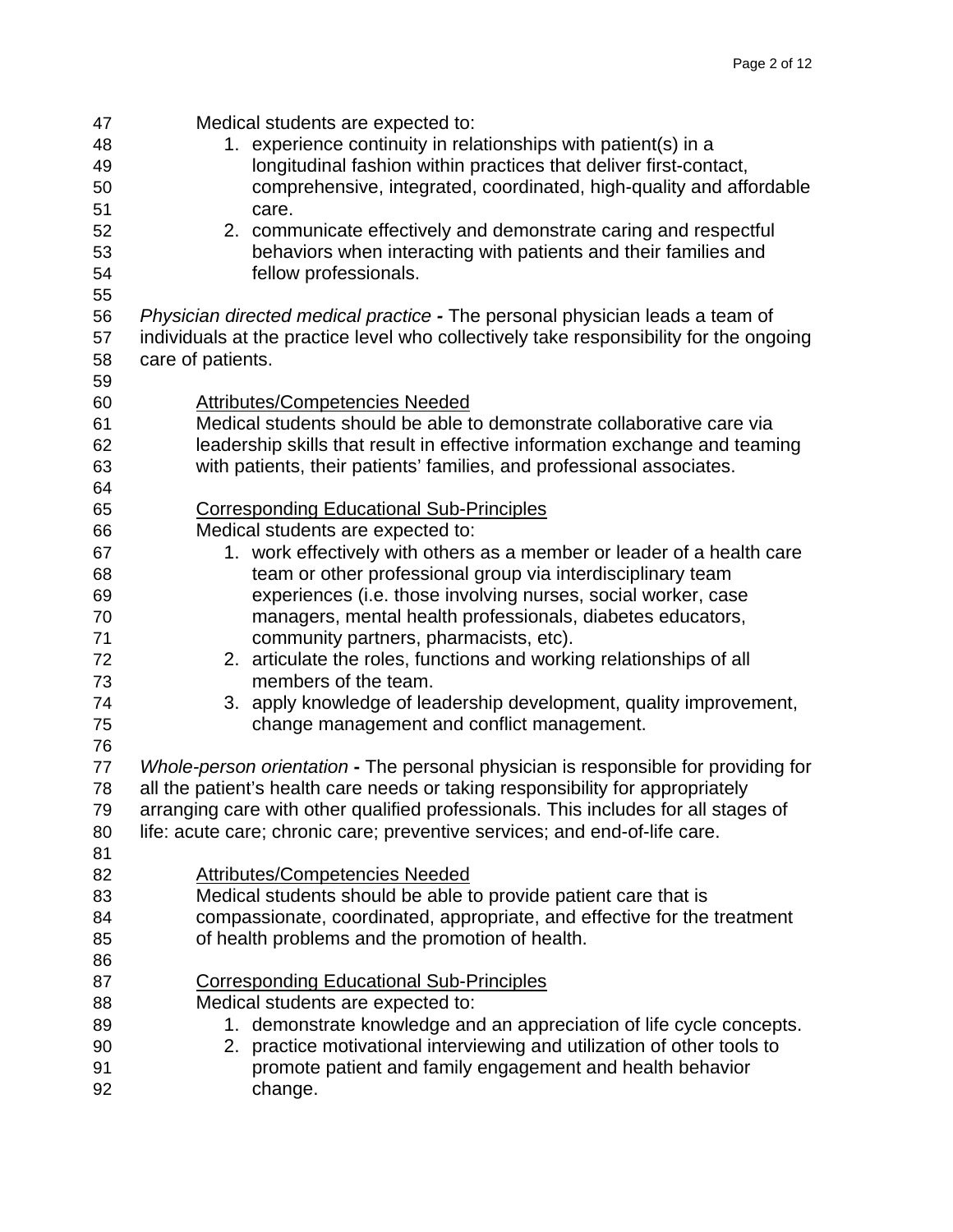| 47 | Medical students are expected to:                                                      |
|----|----------------------------------------------------------------------------------------|
| 48 | 1. experience continuity in relationships with patient(s) in a                         |
| 49 | longitudinal fashion within practices that deliver first-contact,                      |
| 50 | comprehensive, integrated, coordinated, high-quality and affordable                    |
| 51 | care.                                                                                  |
| 52 | 2. communicate effectively and demonstrate caring and respectful                       |
| 53 | behaviors when interacting with patients and their families and                        |
| 54 | fellow professionals.                                                                  |
| 55 |                                                                                        |
| 56 | Physician directed medical practice - The personal physician leads a team of           |
| 57 | individuals at the practice level who collectively take responsibility for the ongoing |
| 58 | care of patients.                                                                      |
|    |                                                                                        |
| 59 |                                                                                        |
| 60 | <b>Attributes/Competencies Needed</b>                                                  |
| 61 | Medical students should be able to demonstrate collaborative care via                  |
| 62 | leadership skills that result in effective information exchange and teaming            |
| 63 | with patients, their patients' families, and professional associates.                  |
| 64 |                                                                                        |
| 65 | <b>Corresponding Educational Sub-Principles</b>                                        |
| 66 | Medical students are expected to:                                                      |
| 67 | 1. work effectively with others as a member or leader of a health care                 |
| 68 | team or other professional group via interdisciplinary team                            |
| 69 | experiences (i.e. those involving nurses, social worker, case                          |
| 70 | managers, mental health professionals, diabetes educators,                             |
| 71 | community partners, pharmacists, etc).                                                 |
| 72 | 2. articulate the roles, functions and working relationships of all                    |
| 73 | members of the team.                                                                   |
| 74 | 3. apply knowledge of leadership development, quality improvement,                     |
| 75 | change management and conflict management.                                             |
| 76 |                                                                                        |
| 77 | Whole-person orientation - The personal physician is responsible for providing for     |
| 78 | all the patient's health care needs or taking responsibility for appropriately         |
| 79 | arranging care with other qualified professionals. This includes for all stages of     |
| 80 | life: acute care; chronic care; preventive services; and end-of-life care.             |
| 81 |                                                                                        |
| 82 | <b>Attributes/Competencies Needed</b>                                                  |
| 83 | Medical students should be able to provide patient care that is                        |
| 84 | compassionate, coordinated, appropriate, and effective for the treatment               |
| 85 | of health problems and the promotion of health.                                        |
| 86 |                                                                                        |
| 87 | <b>Corresponding Educational Sub-Principles</b>                                        |
| 88 | Medical students are expected to:                                                      |
| 89 | 1. demonstrate knowledge and an appreciation of life cycle concepts.                   |
| 90 | 2. practice motivational interviewing and utilization of other tools to                |
| 91 | promote patient and family engagement and health behavior                              |
| 92 |                                                                                        |
|    | change.                                                                                |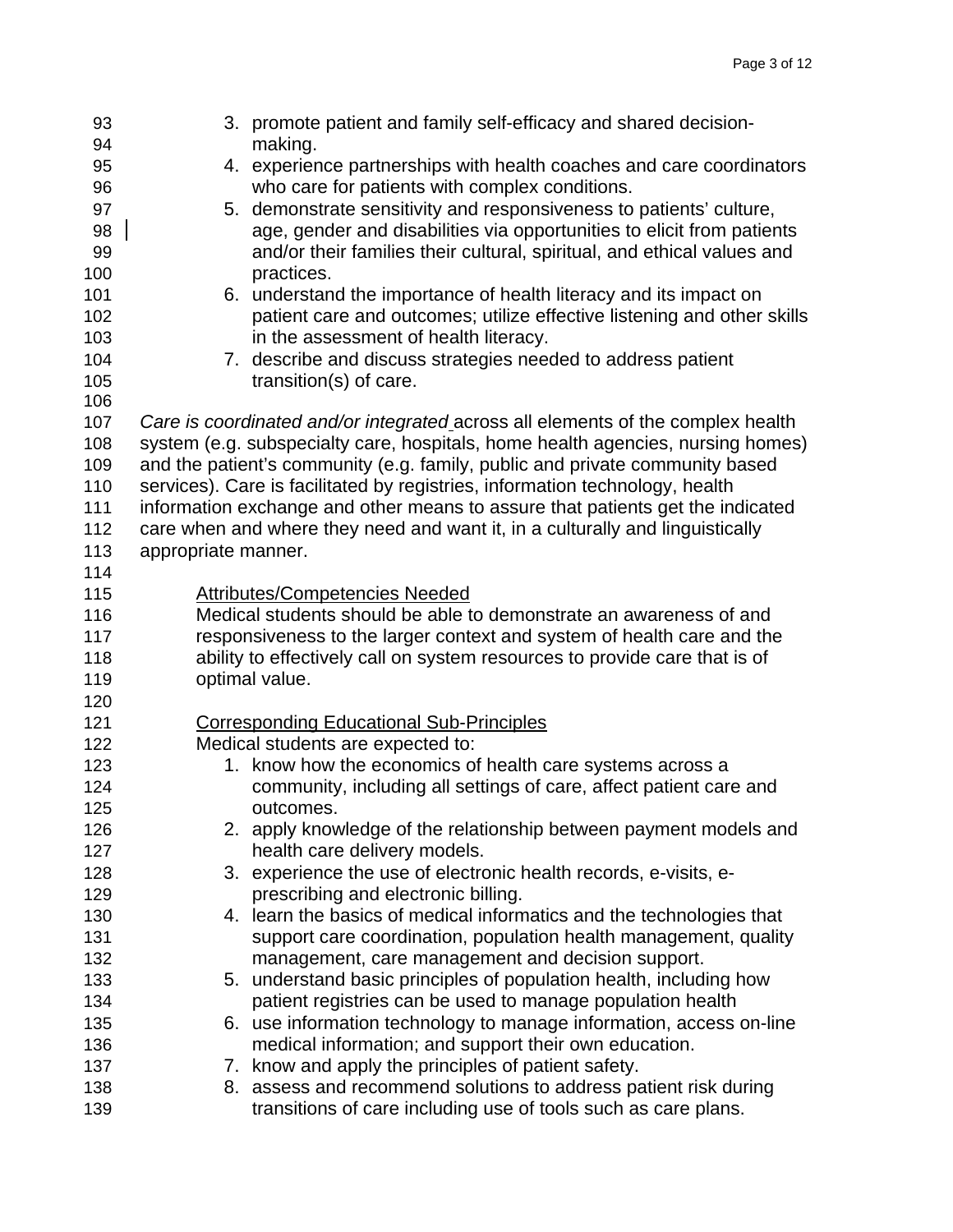| 93         |                                                                            | 3. promote patient and family self-efficacy and shared decision-                                                                                                |  |  |
|------------|----------------------------------------------------------------------------|-----------------------------------------------------------------------------------------------------------------------------------------------------------------|--|--|
| 94         |                                                                            | making.                                                                                                                                                         |  |  |
| 95         |                                                                            | 4. experience partnerships with health coaches and care coordinators                                                                                            |  |  |
| 96         |                                                                            | who care for patients with complex conditions.                                                                                                                  |  |  |
| 97         |                                                                            | 5. demonstrate sensitivity and responsiveness to patients' culture,                                                                                             |  |  |
| 98         |                                                                            | age, gender and disabilities via opportunities to elicit from patients                                                                                          |  |  |
| 99         |                                                                            | and/or their families their cultural, spiritual, and ethical values and                                                                                         |  |  |
| 100        |                                                                            | practices.                                                                                                                                                      |  |  |
| 101        |                                                                            | 6. understand the importance of health literacy and its impact on                                                                                               |  |  |
| 102        |                                                                            | patient care and outcomes; utilize effective listening and other skills                                                                                         |  |  |
| 103        |                                                                            | in the assessment of health literacy.                                                                                                                           |  |  |
| 104        |                                                                            | 7. describe and discuss strategies needed to address patient                                                                                                    |  |  |
| 105        |                                                                            | transition(s) of care.                                                                                                                                          |  |  |
| 106        |                                                                            |                                                                                                                                                                 |  |  |
| 107        |                                                                            | Care is coordinated and/or integrated across all elements of the complex health                                                                                 |  |  |
| 108        |                                                                            | system (e.g. subspecialty care, hospitals, home health agencies, nursing homes)                                                                                 |  |  |
| 109        |                                                                            | and the patient's community (e.g. family, public and private community based                                                                                    |  |  |
| 110        |                                                                            | services). Care is facilitated by registries, information technology, health                                                                                    |  |  |
| 111        |                                                                            | information exchange and other means to assure that patients get the indicated<br>care when and where they need and want it, in a culturally and linguistically |  |  |
| 112        |                                                                            |                                                                                                                                                                 |  |  |
| 113<br>114 | appropriate manner.                                                        |                                                                                                                                                                 |  |  |
| 115        |                                                                            | <b>Attributes/Competencies Needed</b>                                                                                                                           |  |  |
| 116        |                                                                            | Medical students should be able to demonstrate an awareness of and                                                                                              |  |  |
| 117        | responsiveness to the larger context and system of health care and the     |                                                                                                                                                                 |  |  |
| 118        | ability to effectively call on system resources to provide care that is of |                                                                                                                                                                 |  |  |
| 119        |                                                                            | optimal value.                                                                                                                                                  |  |  |
| 120        |                                                                            |                                                                                                                                                                 |  |  |
| 121        |                                                                            | <b>Corresponding Educational Sub-Principles</b>                                                                                                                 |  |  |
| 122        |                                                                            | Medical students are expected to:                                                                                                                               |  |  |
| 123        |                                                                            | 1. know how the economics of health care systems across a                                                                                                       |  |  |
| 124        |                                                                            | community, including all settings of care, affect patient care and                                                                                              |  |  |
| 125        |                                                                            | outcomes.                                                                                                                                                       |  |  |
| 126        |                                                                            | 2. apply knowledge of the relationship between payment models and                                                                                               |  |  |
| 127        |                                                                            | health care delivery models.                                                                                                                                    |  |  |
| 128        |                                                                            | 3. experience the use of electronic health records, e-visits, e-                                                                                                |  |  |
| 129        |                                                                            | prescribing and electronic billing.                                                                                                                             |  |  |
| 130        |                                                                            | 4. learn the basics of medical informatics and the technologies that                                                                                            |  |  |
| 131        |                                                                            | support care coordination, population health management, quality                                                                                                |  |  |
| 132        |                                                                            | management, care management and decision support.                                                                                                               |  |  |
| 133        |                                                                            | 5. understand basic principles of population health, including how                                                                                              |  |  |
| 134        |                                                                            | patient registries can be used to manage population health                                                                                                      |  |  |
| 135        |                                                                            | 6. use information technology to manage information, access on-line                                                                                             |  |  |
| 136        |                                                                            | medical information; and support their own education.                                                                                                           |  |  |
| 137        |                                                                            | 7. know and apply the principles of patient safety.                                                                                                             |  |  |
| 138        |                                                                            | 8. assess and recommend solutions to address patient risk during                                                                                                |  |  |
| 139        |                                                                            | transitions of care including use of tools such as care plans.                                                                                                  |  |  |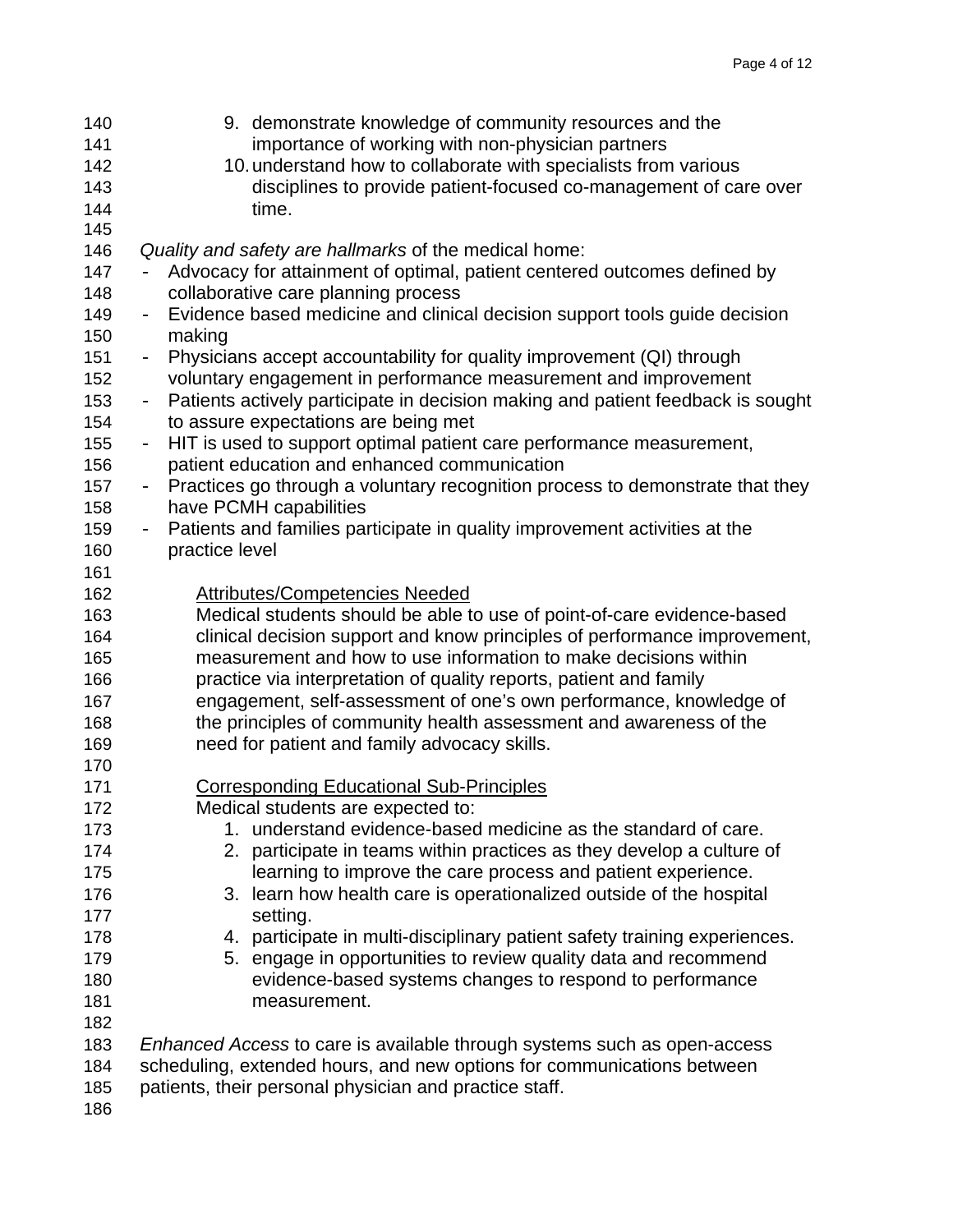| 140 | 9. demonstrate knowledge of community resources and the                                                   |
|-----|-----------------------------------------------------------------------------------------------------------|
| 141 | importance of working with non-physician partners                                                         |
| 142 | 10. understand how to collaborate with specialists from various                                           |
| 143 | disciplines to provide patient-focused co-management of care over                                         |
| 144 | time.                                                                                                     |
| 145 |                                                                                                           |
| 146 | Quality and safety are hallmarks of the medical home:                                                     |
| 147 | Advocacy for attainment of optimal, patient centered outcomes defined by                                  |
| 148 | collaborative care planning process                                                                       |
| 149 | Evidence based medicine and clinical decision support tools guide decision<br>$\overline{\phantom{0}}$    |
| 150 | making                                                                                                    |
| 151 | Physicians accept accountability for quality improvement (QI) through<br>$\overline{\phantom{0}}$         |
| 152 | voluntary engagement in performance measurement and improvement                                           |
| 153 | Patients actively participate in decision making and patient feedback is sought<br>$\equiv$               |
| 154 | to assure expectations are being met                                                                      |
| 155 | HIT is used to support optimal patient care performance measurement,<br>$\overline{\phantom{0}}$          |
| 156 | patient education and enhanced communication                                                              |
| 157 | Practices go through a voluntary recognition process to demonstrate that they<br>$\overline{\phantom{0}}$ |
| 158 | have PCMH capabilities                                                                                    |
| 159 | Patients and families participate in quality improvement activities at the<br>$\overline{\phantom{0}}$    |
| 160 | practice level                                                                                            |
| 161 |                                                                                                           |
| 162 | <b>Attributes/Competencies Needed</b>                                                                     |
| 163 | Medical students should be able to use of point-of-care evidence-based                                    |
| 164 | clinical decision support and know principles of performance improvement,                                 |
| 165 | measurement and how to use information to make decisions within                                           |
| 166 | practice via interpretation of quality reports, patient and family                                        |
| 167 | engagement, self-assessment of one's own performance, knowledge of                                        |
| 168 | the principles of community health assessment and awareness of the                                        |
| 169 | need for patient and family advocacy skills.                                                              |
| 170 |                                                                                                           |
| 171 | <b>Corresponding Educational Sub-Principles</b>                                                           |
| 172 | Medical students are expected to:                                                                         |
| 173 | 1. understand evidence-based medicine as the standard of care.                                            |
| 174 | 2. participate in teams within practices as they develop a culture of                                     |
| 175 | learning to improve the care process and patient experience.                                              |
| 176 | 3. learn how health care is operationalized outside of the hospital                                       |
| 177 | setting.                                                                                                  |
| 178 | 4. participate in multi-disciplinary patient safety training experiences.                                 |
| 179 | 5. engage in opportunities to review quality data and recommend                                           |
| 180 | evidence-based systems changes to respond to performance                                                  |
| 181 | measurement.                                                                                              |
| 182 |                                                                                                           |
|     |                                                                                                           |
| 183 | Enhanced Access to care is available through systems such as open-access                                  |
| 184 | scheduling, extended hours, and new options for communications between                                    |
| 185 | patients, their personal physician and practice staff.                                                    |

186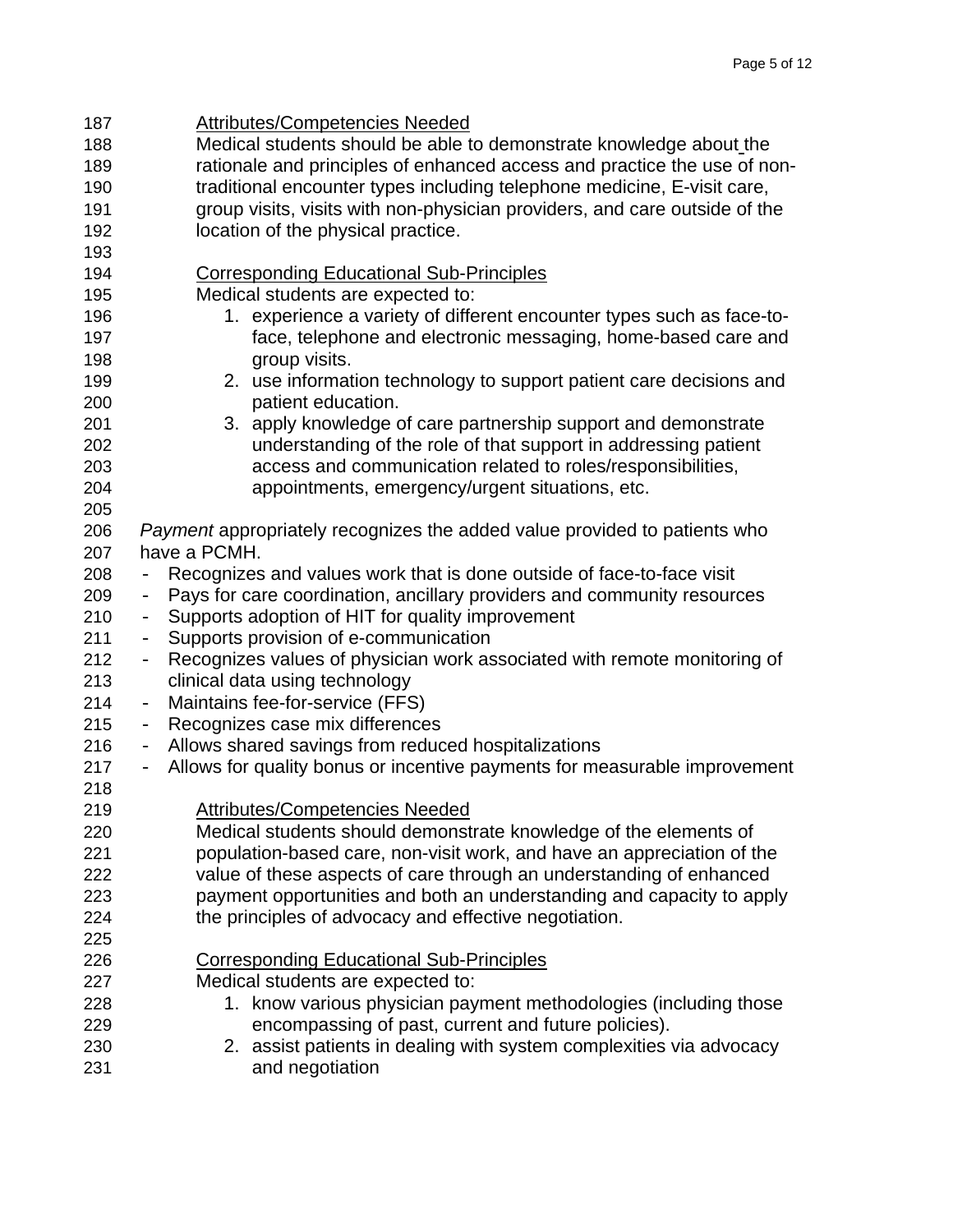187 Attributes/Competencies Needed 188 Medical students should be able to demonstrate knowledge about the 189 rationale and principles of enhanced access and practice the use of non-190 traditional encounter types including telephone medicine, E-visit care, 191 group visits, visits with non-physician providers, and care outside of the 192 location of the physical practice. 193 194 Corresponding Educational Sub-Principles 195 Medical students are expected to: 196 1. experience a variety of different encounter types such as face-to-197 face, telephone and electronic messaging, home-based care and 198 **group visits.** 199 2. use information technology to support patient care decisions and 200 patient education. 201 3. apply knowledge of care partnership support and demonstrate 202 understanding of the role of that support in addressing patient 203 access and communication related to roles/responsibilities, 204 appointments, emergency/urgent situations, etc. 205 206 *Payment* appropriately recognizes the added value provided to patients who 207 have a PCMH. 208 - Recognizes and values work that is done outside of face-to-face visit 209 - Pays for care coordination, ancillary providers and community resources 210 - Supports adoption of HIT for quality improvement 211 - Supports provision of e-communication 212 - Recognizes values of physician work associated with remote monitoring of 213 clinical data using technology 214 - Maintains fee-for-service (FFS) 215 - Recognizes case mix differences 216 - Allows shared savings from reduced hospitalizations 217 - Allows for quality bonus or incentive payments for measurable improvement 218 219 Attributes/Competencies Needed 220 Medical students should demonstrate knowledge of the elements of 221 population-based care, non-visit work, and have an appreciation of the 222 value of these aspects of care through an understanding of enhanced 223 payment opportunities and both an understanding and capacity to apply 224 the principles of advocacy and effective negotiation. 225 226 Corresponding Educational Sub-Principles 227 Medical students are expected to: 228 1. know various physician payment methodologies (including those 229 encompassing of past, current and future policies). 230 2. assist patients in dealing with system complexities via advocacy 231 and negotiation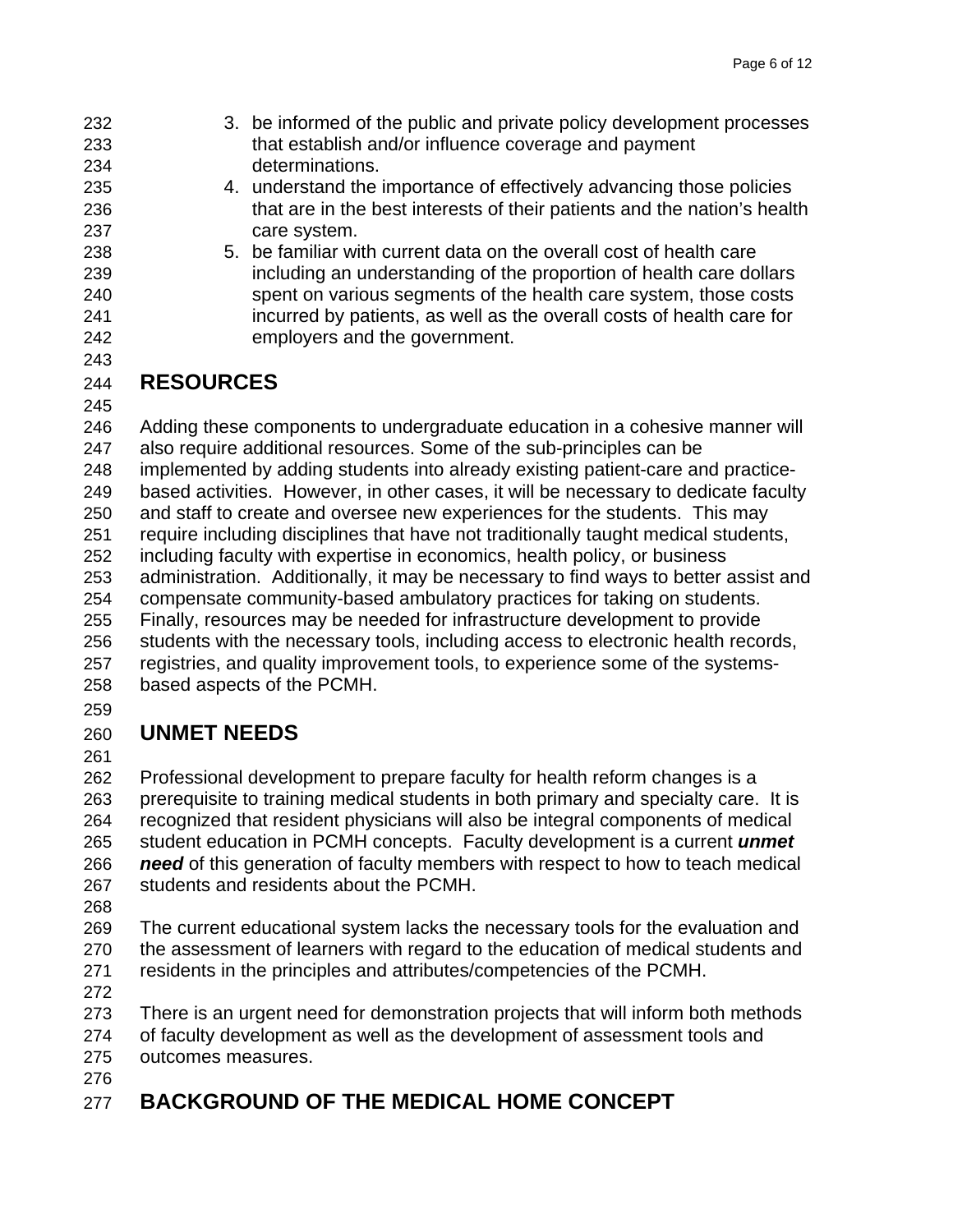- 232 3. be informed of the public and private policy development processes 233 that establish and/or influence coverage and payment 234 determinations.
- 235 4. understand the importance of effectively advancing those policies 236 that are in the best interests of their patients and the nation's health 237 care system.
- 238 5. be familiar with current data on the overall cost of health care 239 including an understanding of the proportion of health care dollars 240 spent on various segments of the health care system, those costs 241 incurred by patients, as well as the overall costs of health care for 242 employers and the government.
- 243

#### 244 **RESOURCES**

245

246 Adding these components to undergraduate education in a cohesive manner will 247 also require additional resources. Some of the sub-principles can be 248 implemented by adding students into already existing patient-care and practice-249 based activities. However, in other cases, it will be necessary to dedicate faculty 250 and staff to create and oversee new experiences for the students. This may 251 require including disciplines that have not traditionally taught medical students, 252 including faculty with expertise in economics, health policy, or business 253 administration. Additionally, it may be necessary to find ways to better assist and 254 compensate community-based ambulatory practices for taking on students. 255 Finally, resources may be needed for infrastructure development to provide 256 students with the necessary tools, including access to electronic health records, 257 registries, and quality improvement tools, to experience some of the systems-258 based aspects of the PCMH.

259

## 260 **UNMET NEEDS**

261

262 Professional development to prepare faculty for health reform changes is a 263 prerequisite to training medical students in both primary and specialty care. It is 264 recognized that resident physicians will also be integral components of medical 265 student education in PCMH concepts. Faculty development is a current *unmet*  266 *need* of this generation of faculty members with respect to how to teach medical 267 students and residents about the PCMH.

268

269 The current educational system lacks the necessary tools for the evaluation and 270 the assessment of learners with regard to the education of medical students and 271 residents in the principles and attributes/competencies of the PCMH.

272

273 There is an urgent need for demonstration projects that will inform both methods 274 of faculty development as well as the development of assessment tools and 275 outcomes measures.

276

## 277 **BACKGROUND OF THE MEDICAL HOME CONCEPT**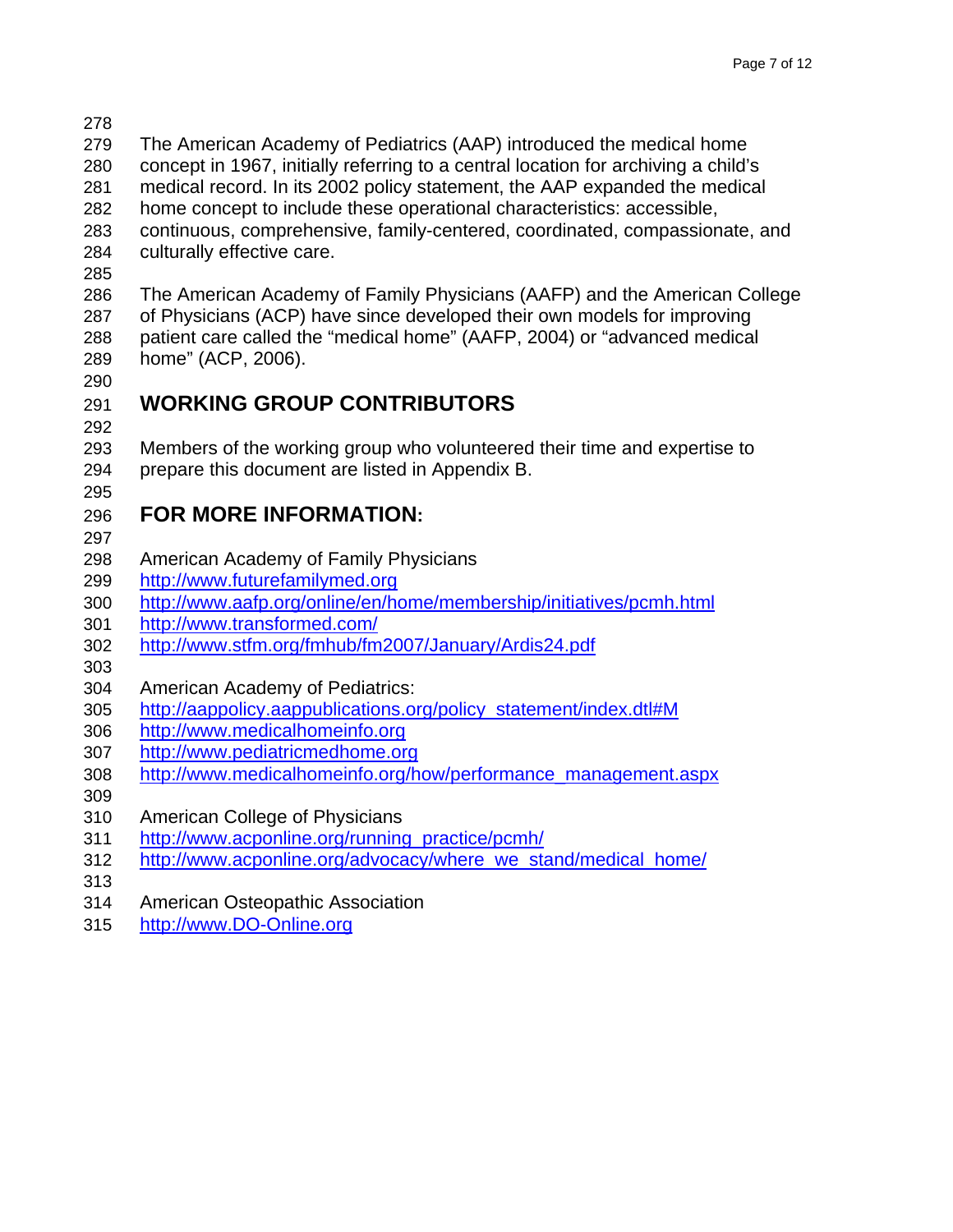- 278
- 279 The American Academy of Pediatrics (AAP) introduced the medical home
- 280 concept in 1967, initially referring to a central location for archiving a child's 281 medical record. In its 2002 policy statement, the AAP expanded the medical
- 282 home concept to include these operational characteristics: accessible,
- 283 continuous, comprehensive, family-centered, coordinated, compassionate, and 284 culturally effective care.
- 285

286 The American Academy of Family Physicians (AAFP) and the American College 287 of Physicians (ACP) have since developed their own models for improving 288 patient care called the "medical home" (AAFP, 2004) or "advanced medical 289 home" (ACP, 2006).

290

# 291 **WORKING GROUP CONTRIBUTORS**

292

293 Members of the working group who volunteered their time and expertise to 294 prepare this document are listed in Appendix B. 295

## 296 **FOR MORE INFORMATION:**

- 297
- 298 American Academy of Family Physicians
- 299 [http://www.futurefamilymed.org](http://www.futurefamilymed.org/)
- 300 <http://www.aafp.org/online/en/home/membership/initiatives/pcmh.html>
- 301 <http://www.transformed.com/>
- 302 <http://www.stfm.org/fmhub/fm2007/January/Ardis24.pdf>
- 303
- 304 American Academy of Pediatrics:
- 305 [http://aappolicy.aappublications.org/policy\\_statement/index.dtl#M](http://aappolicy.aappublications.org/policy_statement/index.dtl#M)
- 306 [http://www.medicalhomeinfo.org](http://www.medicalhomeinfo.org/)
- 307 [http://www.pediatricmedhome.org](http://www.pediatricmedhome.org/)
- 308 [http://www.medicalhomeinfo.org/how/performance\\_management.aspx](http://www.medicalhomeinfo.org/how/performance_management.aspx)
- 309
- 310 American College of Physicians
- 311 [http://www.acponline.org/running\\_practice/pcmh/](http://www.acponline.org/running_practice/pcmh/)
- 312 [http://www.acponline.org/advocacy/where\\_we\\_stand/medical\\_home/](http://www.acponline.org/advocacy/where_we_stand/medical_home/)
- 313
- 314 American Osteopathic Association
- 315 [http://www.DO-Online.org](http://www.do-online.org/)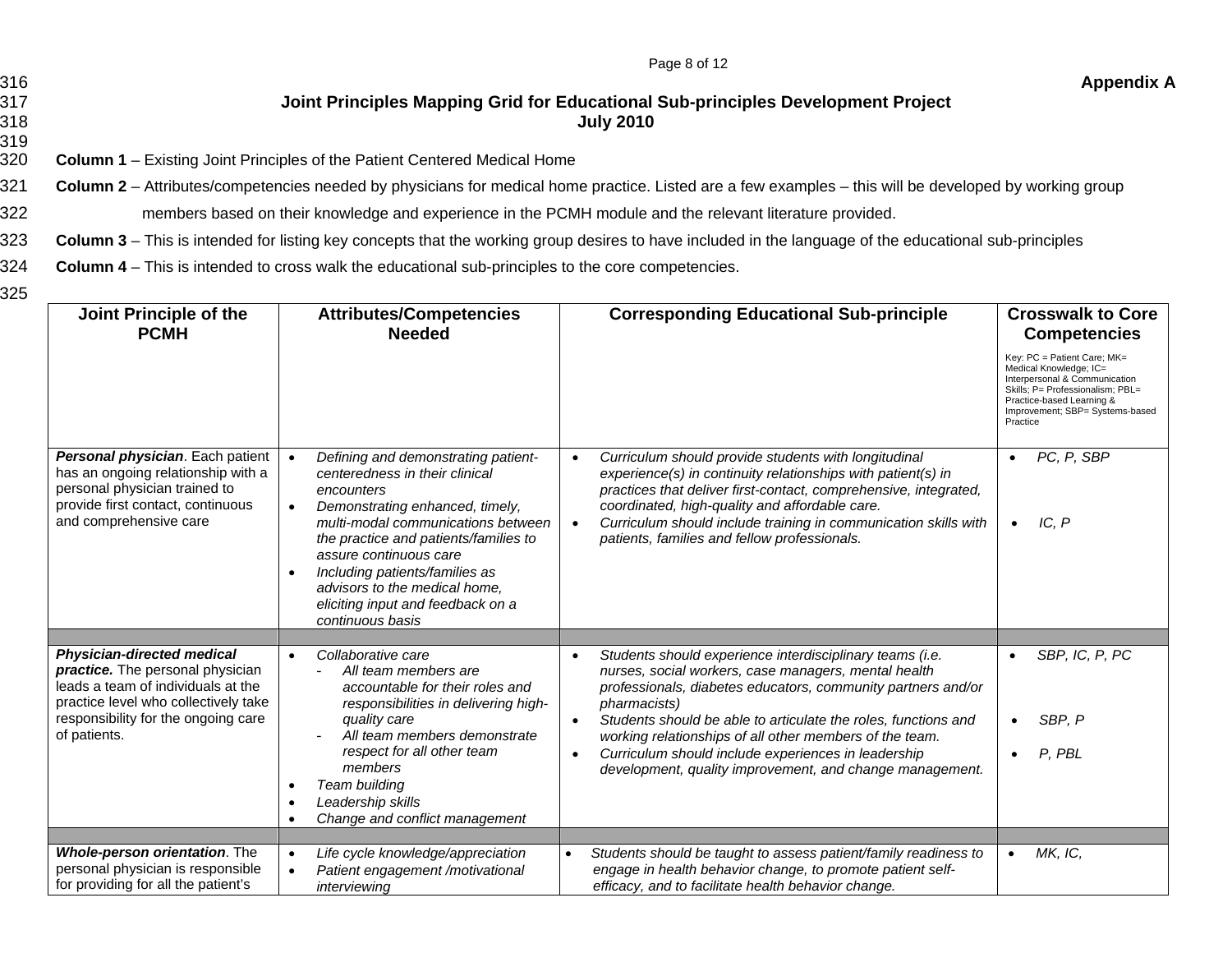|     | Page 8 of 12                                                                                                            |                   |
|-----|-------------------------------------------------------------------------------------------------------------------------|-------------------|
| 316 |                                                                                                                         | <b>Appendix A</b> |
| 317 | Joint Principles Mapping Grid for Educational Sub-principles Development Project                                        |                   |
| 318 | <b>July 2010</b>                                                                                                        |                   |
| 319 |                                                                                                                         |                   |
| ∩∩∩ | $\alpha$ . Longer $A = \Box$ , the finite $\Box$ is the state of the $\Box$ attent $\alpha$ and see it Marita at Hammar |                   |

320 **Column 1** – Existing Joint Principles of the Patient Centered Medical Home

321 **Column 2** – Attributes/competencies needed by physicians for medical home practice. Listed are a few examples – this will be developed by working group

322 members based on their knowledge and experience in the PCMH module and the relevant literature provided.

323 **Column 3** – This is intended for listing key concepts that the working group desires to have included in the language of the educational sub-principles

324 **Column 4** – This is intended to cross walk the educational sub-principles to the core competencies.

325

| Joint Principle of the<br><b>PCMH</b>                                                                                                                                                                      | <b>Attributes/Competencies</b><br><b>Needed</b>                                                                                                                                                                                                                                                                                                                                                    | <b>Corresponding Educational Sub-principle</b>                                                                                                                                                                                                                                                                                                                                                                                                                | <b>Crosswalk to Core</b><br><b>Competencies</b><br>Key: PC = Patient Care; MK=<br>Medical Knowledge; IC=<br>Interpersonal & Communication<br>Skills; P= Professionalism; PBL=<br>Practice-based Learning &<br>Improvement; SBP= Systems-based<br>Practice |
|------------------------------------------------------------------------------------------------------------------------------------------------------------------------------------------------------------|----------------------------------------------------------------------------------------------------------------------------------------------------------------------------------------------------------------------------------------------------------------------------------------------------------------------------------------------------------------------------------------------------|---------------------------------------------------------------------------------------------------------------------------------------------------------------------------------------------------------------------------------------------------------------------------------------------------------------------------------------------------------------------------------------------------------------------------------------------------------------|-----------------------------------------------------------------------------------------------------------------------------------------------------------------------------------------------------------------------------------------------------------|
| Personal physician. Each patient<br>has an ongoing relationship with a<br>personal physician trained to<br>provide first contact, continuous<br>and comprehensive care                                     | Defining and demonstrating patient-<br>$\bullet$<br>centeredness in their clinical<br>encounters<br>Demonstrating enhanced, timely,<br>$\bullet$<br>multi-modal communications between<br>the practice and patients/families to<br>assure continuous care<br>Including patients/families as<br>$\bullet$<br>advisors to the medical home,<br>eliciting input and feedback on a<br>continuous basis | Curriculum should provide students with longitudinal<br>$\bullet$<br>experience(s) in continuity relationships with patient(s) in<br>practices that deliver first-contact, comprehensive, integrated,<br>coordinated, high-quality and affordable care.<br>Curriculum should include training in communication skills with<br>$\bullet$<br>patients, families and fellow professionals.                                                                       | PC, P, SBP<br>$\bullet$<br>IC, P<br>$\bullet$                                                                                                                                                                                                             |
|                                                                                                                                                                                                            |                                                                                                                                                                                                                                                                                                                                                                                                    |                                                                                                                                                                                                                                                                                                                                                                                                                                                               |                                                                                                                                                                                                                                                           |
| <b>Physician-directed medical</b><br>practice. The personal physician<br>leads a team of individuals at the<br>practice level who collectively take<br>responsibility for the ongoing care<br>of patients. | Collaborative care<br>$\bullet$<br>All team members are<br>accountable for their roles and<br>responsibilities in delivering high-<br>quality care<br>All team members demonstrate<br>respect for all other team<br>members<br>Team building<br>$\bullet$<br>Leadership skills<br>$\bullet$<br>Change and conflict management<br>$\bullet$                                                         | Students should experience interdisciplinary teams (i.e.<br>nurses, social workers, case managers, mental health<br>professionals, diabetes educators, community partners and/or<br>pharmacists)<br>Students should be able to articulate the roles, functions and<br>working relationships of all other members of the team.<br>Curriculum should include experiences in leadership<br>$\bullet$<br>development, quality improvement, and change management. | SBP, IC, P, PC<br>$\bullet$<br>SBP. P<br>$\bullet$<br>P, PBL<br>$\bullet$                                                                                                                                                                                 |
|                                                                                                                                                                                                            |                                                                                                                                                                                                                                                                                                                                                                                                    |                                                                                                                                                                                                                                                                                                                                                                                                                                                               |                                                                                                                                                                                                                                                           |
| Whole-person orientation. The<br>personal physician is responsible<br>for providing for all the patient's                                                                                                  | Life cycle knowledge/appreciation<br>$\bullet$<br>Patient engagement /motivational<br>$\bullet$<br>interviewing                                                                                                                                                                                                                                                                                    | Students should be taught to assess patient/family readiness to<br>engage in health behavior change, to promote patient self-<br>efficacy, and to facilitate health behavior change.                                                                                                                                                                                                                                                                          | MK, IC,<br>$\bullet$                                                                                                                                                                                                                                      |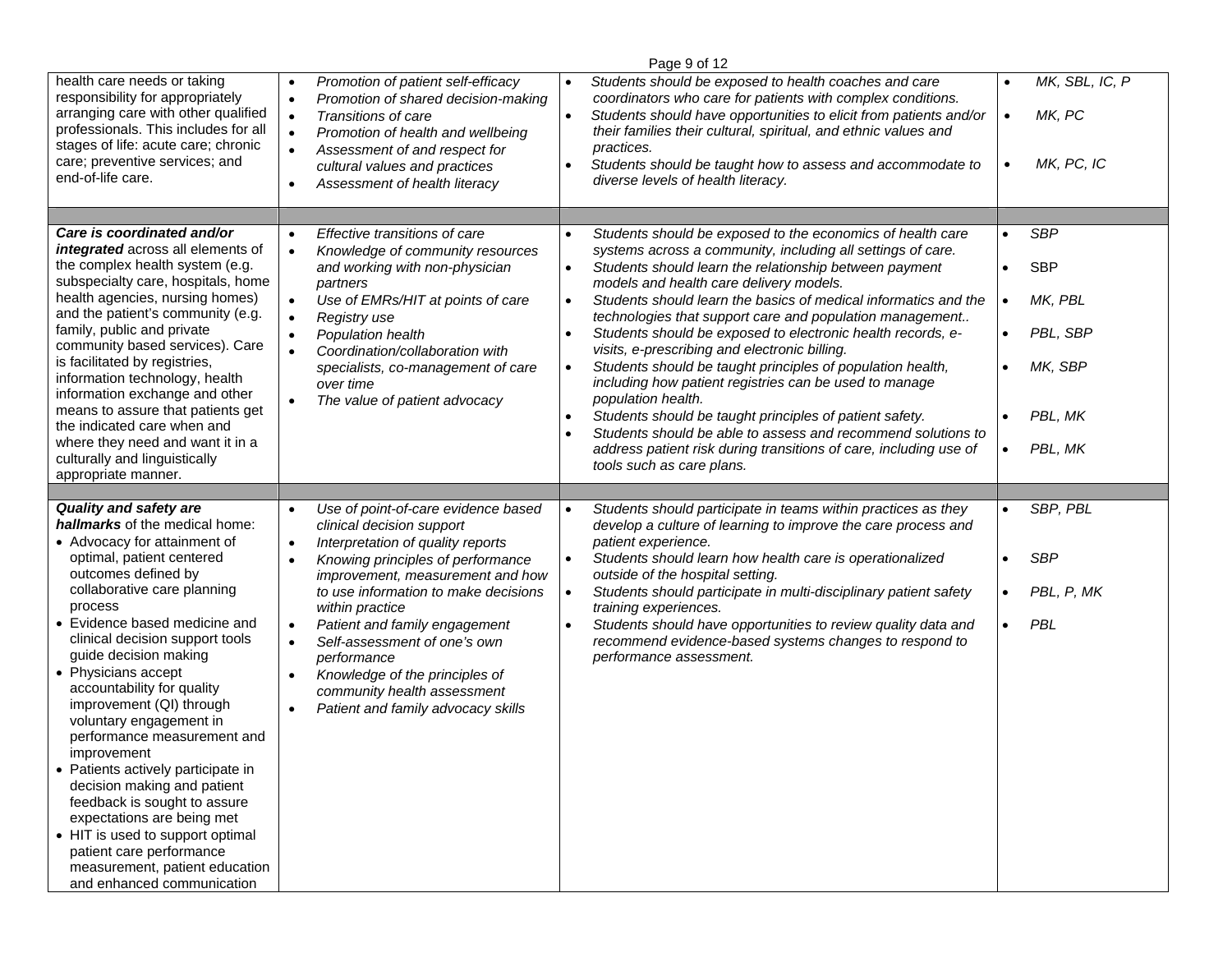|                                                                                                                                                                                                                                                                                                                                                                                                                                                                                                                                                                                                                                                                                                                         |                                                                                                                                                                                                                                                                                                                                                                                                                                                                                                                             | Page 9 of 12                                                                                                                                                                                                                                                                                                                                                                                                                                                                                                                                                                                                                                                                                                                                                                                                                                                          |                                                                                                                                                   |
|-------------------------------------------------------------------------------------------------------------------------------------------------------------------------------------------------------------------------------------------------------------------------------------------------------------------------------------------------------------------------------------------------------------------------------------------------------------------------------------------------------------------------------------------------------------------------------------------------------------------------------------------------------------------------------------------------------------------------|-----------------------------------------------------------------------------------------------------------------------------------------------------------------------------------------------------------------------------------------------------------------------------------------------------------------------------------------------------------------------------------------------------------------------------------------------------------------------------------------------------------------------------|-----------------------------------------------------------------------------------------------------------------------------------------------------------------------------------------------------------------------------------------------------------------------------------------------------------------------------------------------------------------------------------------------------------------------------------------------------------------------------------------------------------------------------------------------------------------------------------------------------------------------------------------------------------------------------------------------------------------------------------------------------------------------------------------------------------------------------------------------------------------------|---------------------------------------------------------------------------------------------------------------------------------------------------|
| health care needs or taking<br>responsibility for appropriately<br>arranging care with other qualified<br>professionals. This includes for all<br>stages of life: acute care; chronic<br>care; preventive services; and<br>end-of-life care.                                                                                                                                                                                                                                                                                                                                                                                                                                                                            | Promotion of patient self-efficacy<br>$\bullet$<br>Promotion of shared decision-making<br>$\bullet$<br>Transitions of care<br>$\bullet$<br>Promotion of health and wellbeing<br>$\bullet$<br>Assessment of and respect for<br>$\bullet$<br>cultural values and practices<br>Assessment of health literacy<br>$\bullet$                                                                                                                                                                                                      | Students should be exposed to health coaches and care<br>coordinators who care for patients with complex conditions.<br>Students should have opportunities to elicit from patients and/or<br>their families their cultural, spiritual, and ethnic values and<br>practices.<br>Students should be taught how to assess and accommodate to<br>diverse levels of health literacy.                                                                                                                                                                                                                                                                                                                                                                                                                                                                                        | MK, SBL, IC, P<br>$\bullet$<br>MK, PC<br>$\bullet$<br>MK, PC, IC<br>$\bullet$                                                                     |
|                                                                                                                                                                                                                                                                                                                                                                                                                                                                                                                                                                                                                                                                                                                         |                                                                                                                                                                                                                                                                                                                                                                                                                                                                                                                             |                                                                                                                                                                                                                                                                                                                                                                                                                                                                                                                                                                                                                                                                                                                                                                                                                                                                       |                                                                                                                                                   |
| Care is coordinated and/or<br>integrated across all elements of<br>the complex health system (e.g.<br>subspecialty care, hospitals, home<br>health agencies, nursing homes)<br>and the patient's community (e.g.<br>family, public and private<br>community based services). Care<br>is facilitated by registries,<br>information technology, health<br>information exchange and other<br>means to assure that patients get<br>the indicated care when and<br>where they need and want it in a<br>culturally and linguistically<br>appropriate manner.                                                                                                                                                                  | Effective transitions of care<br>$\bullet$<br>Knowledge of community resources<br>$\bullet$<br>and working with non-physician<br>partners<br>Use of EMRs/HIT at points of care<br>$\bullet$<br>Registry use<br>$\bullet$<br>Population health<br>$\bullet$<br>Coordination/collaboration with<br>$\bullet$<br>specialists, co-management of care<br>over time<br>The value of patient advocacy<br>$\bullet$                                                                                                                 | Students should be exposed to the economics of health care<br>systems across a community, including all settings of care.<br>Students should learn the relationship between payment<br>models and health care delivery models.<br>Students should learn the basics of medical informatics and the<br>$\bullet$<br>technologies that support care and population management<br>Students should be exposed to electronic health records, e-<br>visits, e-prescribing and electronic billing.<br>Students should be taught principles of population health,<br>including how patient registries can be used to manage<br>population health.<br>Students should be taught principles of patient safety.<br>Students should be able to assess and recommend solutions to<br>address patient risk during transitions of care, including use of<br>tools such as care plans. | <b>SBP</b><br>$\bullet$<br><b>SBP</b><br>$\bullet$<br>MK, PBL<br>$\bullet$<br>PBL, SBP<br>MK, SBP<br>$\bullet$<br>PBL, MK<br>PBL, MK<br>$\bullet$ |
|                                                                                                                                                                                                                                                                                                                                                                                                                                                                                                                                                                                                                                                                                                                         |                                                                                                                                                                                                                                                                                                                                                                                                                                                                                                                             |                                                                                                                                                                                                                                                                                                                                                                                                                                                                                                                                                                                                                                                                                                                                                                                                                                                                       |                                                                                                                                                   |
| <b>Quality and safety are</b><br>hallmarks of the medical home:<br>• Advocacy for attainment of<br>optimal, patient centered<br>outcomes defined by<br>collaborative care planning<br>process<br>• Evidence based medicine and<br>clinical decision support tools<br>guide decision making<br>• Physicians accept<br>accountability for quality<br>improvement (QI) through<br>voluntary engagement in<br>performance measurement and<br>improvement<br>• Patients actively participate in<br>decision making and patient<br>feedback is sought to assure<br>expectations are being met<br>• HIT is used to support optimal<br>patient care performance<br>measurement, patient education<br>and enhanced communication | Use of point-of-care evidence based<br>$\bullet$<br>clinical decision support<br>Interpretation of quality reports<br>$\bullet$<br>Knowing principles of performance<br>$\bullet$<br>improvement, measurement and how<br>to use information to make decisions<br>within practice<br>Patient and family engagement<br>$\bullet$<br>Self-assessment of one's own<br>$\bullet$<br>performance<br>Knowledge of the principles of<br>$\bullet$<br>community health assessment<br>Patient and family advocacy skills<br>$\bullet$ | Students should participate in teams within practices as they<br>develop a culture of learning to improve the care process and<br>patient experience.<br>Students should learn how health care is operationalized<br>outside of the hospital setting.<br>Students should participate in multi-disciplinary patient safety<br>training experiences.<br>Students should have opportunities to review quality data and<br>$\bullet$<br>recommend evidence-based systems changes to respond to<br>performance assessment.                                                                                                                                                                                                                                                                                                                                                 | SBP, PBL<br>$\bullet$<br><b>SBP</b><br>PBL, P, MK<br>PBL<br>$\bullet$                                                                             |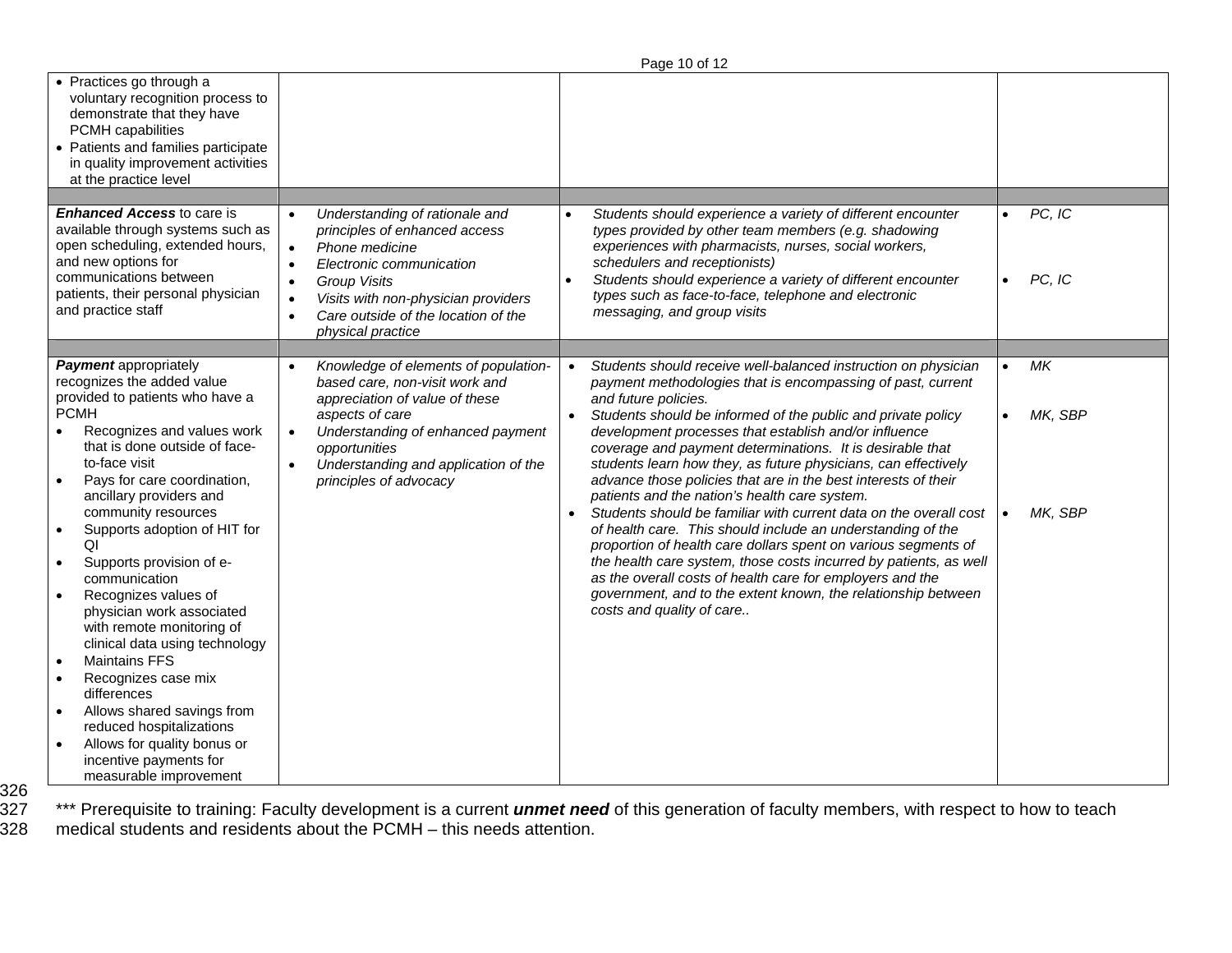|                                                                                                                                                                                                                                                                                                                                                                                                                                                                                                                                                                                                                                                                                                                                                                                                         |                                                                                                                                                                                                                                                                                                                       | Page 10 of 12                                                                                                                                                                                                                                                                                                                                                                                                                                                                                                                                                                                                                                                                                                                                                                                                                                                                                                                                                                       |                               |
|---------------------------------------------------------------------------------------------------------------------------------------------------------------------------------------------------------------------------------------------------------------------------------------------------------------------------------------------------------------------------------------------------------------------------------------------------------------------------------------------------------------------------------------------------------------------------------------------------------------------------------------------------------------------------------------------------------------------------------------------------------------------------------------------------------|-----------------------------------------------------------------------------------------------------------------------------------------------------------------------------------------------------------------------------------------------------------------------------------------------------------------------|-------------------------------------------------------------------------------------------------------------------------------------------------------------------------------------------------------------------------------------------------------------------------------------------------------------------------------------------------------------------------------------------------------------------------------------------------------------------------------------------------------------------------------------------------------------------------------------------------------------------------------------------------------------------------------------------------------------------------------------------------------------------------------------------------------------------------------------------------------------------------------------------------------------------------------------------------------------------------------------|-------------------------------|
| • Practices go through a<br>voluntary recognition process to<br>demonstrate that they have<br>PCMH capabilities<br>• Patients and families participate<br>in quality improvement activities<br>at the practice level                                                                                                                                                                                                                                                                                                                                                                                                                                                                                                                                                                                    |                                                                                                                                                                                                                                                                                                                       |                                                                                                                                                                                                                                                                                                                                                                                                                                                                                                                                                                                                                                                                                                                                                                                                                                                                                                                                                                                     |                               |
| <b>Enhanced Access to care is</b><br>available through systems such as<br>open scheduling, extended hours,<br>and new options for<br>communications between<br>patients, their personal physician<br>and practice staff                                                                                                                                                                                                                                                                                                                                                                                                                                                                                                                                                                                 | Understanding of rationale and<br>$\bullet$<br>principles of enhanced access<br>Phone medicine<br>$\bullet$<br>Electronic communication<br>$\bullet$<br><b>Group Visits</b><br>$\bullet$<br>Visits with non-physician providers<br>$\bullet$<br>Care outside of the location of the<br>$\bullet$<br>physical practice | Students should experience a variety of different encounter<br>types provided by other team members (e.g. shadowing<br>experiences with pharmacists, nurses, social workers,<br>schedulers and receptionists)<br>Students should experience a variety of different encounter<br>types such as face-to-face, telephone and electronic<br>messaging, and group visits                                                                                                                                                                                                                                                                                                                                                                                                                                                                                                                                                                                                                 | PC, IC<br>PC, IC<br>$\bullet$ |
| <b>Payment appropriately</b><br>recognizes the added value<br>provided to patients who have a<br><b>PCMH</b><br>Recognizes and values work<br>$\bullet$<br>that is done outside of face-<br>to-face visit<br>Pays for care coordination,<br>$\bullet$<br>ancillary providers and<br>community resources<br>Supports adoption of HIT for<br>$\bullet$<br>ΩI<br>Supports provision of e-<br>$\bullet$<br>communication<br>Recognizes values of<br>$\bullet$<br>physician work associated<br>with remote monitoring of<br>clinical data using technology<br><b>Maintains FFS</b><br>$\bullet$<br>Recognizes case mix<br>$\bullet$<br>differences<br>Allows shared savings from<br>$\bullet$<br>reduced hospitalizations<br>Allows for quality bonus or<br>incentive payments for<br>measurable improvement | Knowledge of elements of population-<br>based care, non-visit work and<br>appreciation of value of these<br>aspects of care<br>Understanding of enhanced payment<br>$\bullet$<br>opportunities<br>Understanding and application of the<br>$\bullet$<br>principles of advocacy                                         | Students should receive well-balanced instruction on physician<br>payment methodologies that is encompassing of past, current<br>and future policies.<br>Students should be informed of the public and private policy<br>$\bullet$<br>development processes that establish and/or influence<br>coverage and payment determinations. It is desirable that<br>students learn how they, as future physicians, can effectively<br>advance those policies that are in the best interests of their<br>patients and the nation's health care system.<br>Students should be familiar with current data on the overall cost<br>of health care. This should include an understanding of the<br>proportion of health care dollars spent on various segments of<br>the health care system, those costs incurred by patients, as well<br>as the overall costs of health care for employers and the<br>government, and to the extent known, the relationship between<br>costs and quality of care | МK<br>MK, SBP<br>MK, SBP      |

326

327 \*\*\* Prerequisite to training: Faculty development is a current *unmet need* of this generation of faculty members, with respect to how to teach 328 medical students and residents about the PCMH – this needs attention.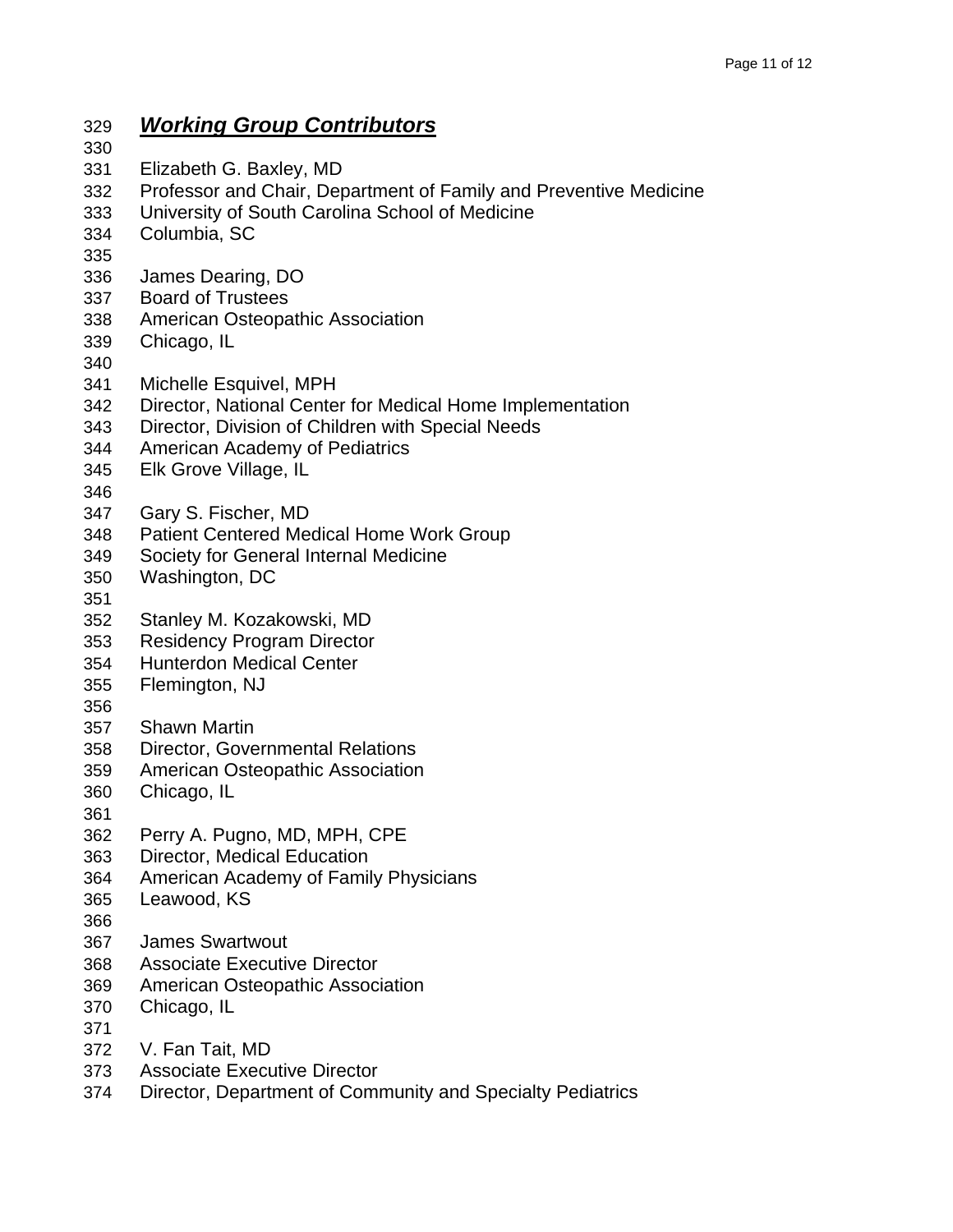#### 329 *Working Group Contributors* 330 331 Elizabeth G. Baxley, MD 332 Professor and Chair, Department of Family and Preventive Medicine 333 University of South Carolina School of Medicine 334 Columbia, SC 335 336 James Dearing, DO 337 Board of Trustees 338 American Osteopathic Association 339 Chicago, IL 340 341 Michelle Esquivel, MPH 342 Director, National Center for Medical Home Implementation 343 Director, Division of Children with Special Needs 344 American Academy of Pediatrics 345 Elk Grove Village, IL 346 347 Gary S. Fischer, MD 348 Patient Centered Medical Home Work Group 349 Society for General Internal Medicine 350 Washington, DC 351 352 Stanley M. Kozakowski, MD 353 Residency Program Director 354 Hunterdon Medical Center 355 Flemington, NJ 356 357 Shawn Martin 358 Director, Governmental Relations 359 American Osteopathic Association 360 Chicago, IL 361 362 Perry A. Pugno, MD, MPH, CPE 363 Director, Medical Education 364 American Academy of Family Physicians 365 Leawood, KS 366 367 James Swartwout 368 Associate Executive Director 369 American Osteopathic Association 370 Chicago, IL 371 372 V. Fan Tait, MD 373 Associate Executive Director 374 Director, Department of Community and Specialty Pediatrics